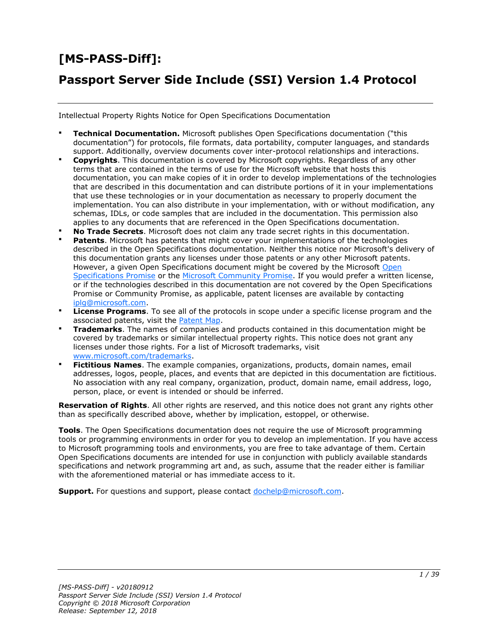# **[MS-PASS-Diff]:**

# **Passport Server Side Include (SSI) Version 1.4 Protocol**

Intellectual Property Rights Notice for Open Specifications Documentation

- **Technical Documentation.** Microsoft publishes Open Specifications documentation ("this documentation") for protocols, file formats, data portability, computer languages, and standards support. Additionally, overview documents cover inter-protocol relationships and interactions.
- **Copyrights**. This documentation is covered by Microsoft copyrights. Regardless of any other terms that are contained in the terms of use for the Microsoft website that hosts this documentation, you can make copies of it in order to develop implementations of the technologies that are described in this documentation and can distribute portions of it in your implementations that use these technologies or in your documentation as necessary to properly document the implementation. You can also distribute in your implementation, with or without modification, any schemas, IDLs, or code samples that are included in the documentation. This permission also applies to any documents that are referenced in the Open Specifications documentation.
- **No Trade Secrets**. Microsoft does not claim any trade secret rights in this documentation.
- **Patents**. Microsoft has patents that might cover your implementations of the technologies described in the Open Specifications documentation. Neither this notice nor Microsoft's delivery of this documentation grants any licenses under those patents or any other Microsoft patents. However, a given [Open](http://go.microsoft.com/fwlink/?LinkId=214445) Specifications document might be covered by the Microsoft Open [Specifications Promise](http://go.microsoft.com/fwlink/?LinkId=214445) or the [Microsoft Community Promise.](https://go.microsoft.com/fwlink/?LinkId=214448) If you would prefer a written license, or if the technologies described in this documentation are not covered by the Open Specifications Promise or Community Promise, as applicable, patent licenses are available by contacting [iplg@microsoft.com.](mailto:iplg@microsoft.com)
- **License Programs**. To see all of the protocols in scope under a specific license program and the associated patents, visit the [Patent Map.](https://msdn.microsoft.com/en-us/openspecifications/dn750984)
- **Trademarks**. The names of companies and products contained in this documentation might be covered by trademarks or similar intellectual property rights. This notice does not grant any licenses under those rights. For a list of Microsoft trademarks, visit www.microsoft.com/trademarks.
- **Fictitious Names**. The example companies, organizations, products, domain names, email addresses, logos, people, places, and events that are depicted in this documentation are fictitious. No association with any real company, organization, product, domain name, email address, logo, person, place, or event is intended or should be inferred.

**Reservation of Rights**. All other rights are reserved, and this notice does not grant any rights other than as specifically described above, whether by implication, estoppel, or otherwise.

**Tools**. The Open Specifications documentation does not require the use of Microsoft programming tools or programming environments in order for you to develop an implementation. If you have access to Microsoft programming tools and environments, you are free to take advantage of them. Certain Open Specifications documents are intended for use in conjunction with publicly available standards specifications and network programming art and, as such, assume that the reader either is familiar with the aforementioned material or has immediate access to it.

**Support.** For questions and support, please contact dochelp@microsoft.com.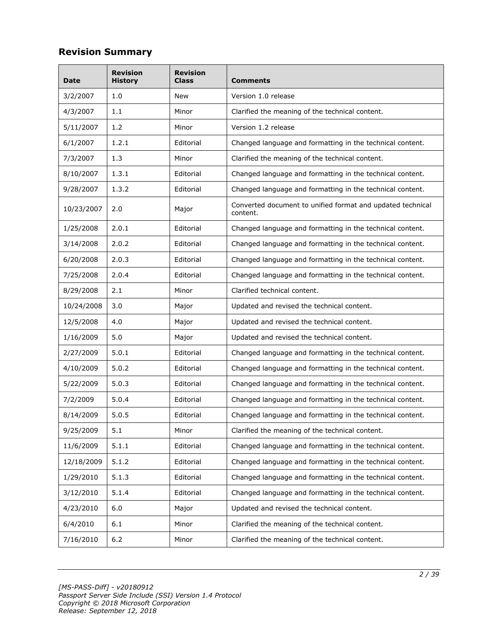# **Revision Summary**

| Date       | <b>Revision</b><br><b>History</b> | <b>Revision</b><br><b>Class</b> | <b>Comments</b>                                                        |  |
|------------|-----------------------------------|---------------------------------|------------------------------------------------------------------------|--|
| 3/2/2007   | 1.0                               | New                             | Version 1.0 release<br>Clarified the meaning of the technical content. |  |
| 4/3/2007   | 1.1                               | Minor                           |                                                                        |  |
| 5/11/2007  | 1.2                               | Minor                           | Version 1.2 release                                                    |  |
| 6/1/2007   | 1.2.1                             | Editorial                       | Changed language and formatting in the technical content.              |  |
| 7/3/2007   | 1.3                               | Minor                           | Clarified the meaning of the technical content.                        |  |
| 8/10/2007  | 1.3.1                             | Editorial                       | Changed language and formatting in the technical content.              |  |
| 9/28/2007  | 1.3.2                             | Editorial                       | Changed language and formatting in the technical content.              |  |
| 10/23/2007 | 2.0                               | Major                           | Converted document to unified format and updated technical<br>content. |  |
| 1/25/2008  | 2.0.1                             | Editorial                       | Changed language and formatting in the technical content.              |  |
| 3/14/2008  | 2.0.2                             | Editorial                       | Changed language and formatting in the technical content.              |  |
| 6/20/2008  | 2.0.3                             | Editorial                       | Changed language and formatting in the technical content.              |  |
| 7/25/2008  | 2.0.4                             | Editorial                       | Changed language and formatting in the technical content.              |  |
| 8/29/2008  | 2.1                               | Minor                           | Clarified technical content.                                           |  |
| 10/24/2008 | 3.0                               | Major                           | Updated and revised the technical content.                             |  |
| 12/5/2008  | 4.0                               | Major                           | Updated and revised the technical content.                             |  |
| 1/16/2009  | 5.0                               | Major                           | Updated and revised the technical content.                             |  |
| 2/27/2009  | 5.0.1                             | Editorial                       | Changed language and formatting in the technical content.              |  |
| 4/10/2009  | 5.0.2                             | Editorial                       | Changed language and formatting in the technical content.              |  |
| 5/22/2009  | 5.0.3                             | Editorial                       | Changed language and formatting in the technical content.              |  |
| 7/2/2009   | 5.0.4                             | Editorial                       | Changed language and formatting in the technical content.              |  |
| 8/14/2009  | 5.0.5                             | Editorial                       | Changed language and formatting in the technical content.              |  |
| 9/25/2009  | 5.1                               | Minor                           | Clarified the meaning of the technical content.                        |  |
| 11/6/2009  | 5.1.1                             | Editorial                       | Changed language and formatting in the technical content.              |  |
| 12/18/2009 | 5.1.2                             | Editorial                       | Changed language and formatting in the technical content.              |  |
| 1/29/2010  | 5.1.3                             | Editorial                       | Changed language and formatting in the technical content.              |  |
| 3/12/2010  | 5.1.4                             | Editorial                       | Changed language and formatting in the technical content.              |  |
| 4/23/2010  | 6.0                               | Major                           | Updated and revised the technical content.                             |  |
| 6/4/2010   | 6.1                               | Minor                           | Clarified the meaning of the technical content.                        |  |
| 7/16/2010  | 6.2                               | Minor                           | Clarified the meaning of the technical content.                        |  |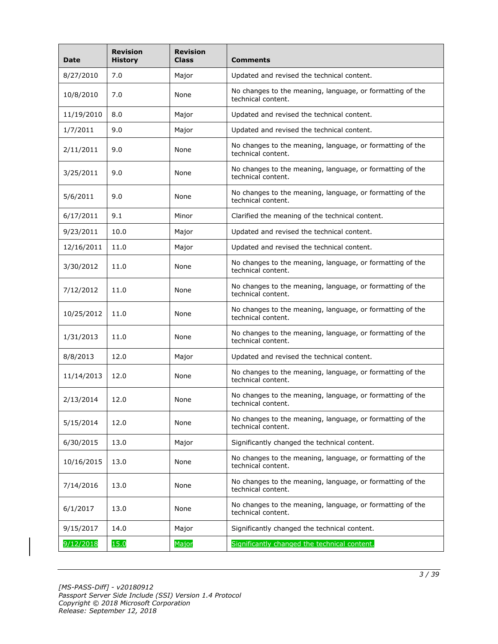| <b>Date</b> | <b>Revision</b><br><b>History</b> | <b>Revision</b><br><b>Class</b> | <b>Comments</b>                                                                 |  |
|-------------|-----------------------------------|---------------------------------|---------------------------------------------------------------------------------|--|
| 8/27/2010   | 7.0                               | Major                           | Updated and revised the technical content.                                      |  |
| 10/8/2010   | 7.0                               | None                            | No changes to the meaning, language, or formatting of the<br>technical content. |  |
| 11/19/2010  | 8.0                               | Major                           | Updated and revised the technical content.                                      |  |
| 1/7/2011    | 9.0                               | Major                           | Updated and revised the technical content.                                      |  |
| 2/11/2011   | 9.0                               | None                            | No changes to the meaning, language, or formatting of the<br>technical content. |  |
| 3/25/2011   | 9.0                               | None                            | No changes to the meaning, language, or formatting of the<br>technical content. |  |
| 5/6/2011    | 9.0                               | None                            | No changes to the meaning, language, or formatting of the<br>technical content. |  |
| 6/17/2011   | 9.1                               | Minor                           | Clarified the meaning of the technical content.                                 |  |
| 9/23/2011   | 10.0                              | Major                           | Updated and revised the technical content.                                      |  |
| 12/16/2011  | 11.0                              | Major                           | Updated and revised the technical content.                                      |  |
| 3/30/2012   | 11.0                              | None                            | No changes to the meaning, language, or formatting of the<br>technical content. |  |
| 7/12/2012   | 11.0                              | None                            | No changes to the meaning, language, or formatting of the<br>technical content. |  |
| 10/25/2012  | 11.0                              | None                            | No changes to the meaning, language, or formatting of the<br>technical content. |  |
| 1/31/2013   | 11.0                              | None                            | No changes to the meaning, language, or formatting of the<br>technical content. |  |
| 8/8/2013    | 12.0                              | Major                           | Updated and revised the technical content.                                      |  |
| 11/14/2013  | 12.0                              | None                            | No changes to the meaning, language, or formatting of the<br>technical content. |  |
| 2/13/2014   | 12.0                              | None                            | No changes to the meaning, language, or formatting of the<br>technical content. |  |
| 5/15/2014   | 12.0                              | None                            | No changes to the meaning, language, or formatting of the<br>technical content. |  |
| 6/30/2015   | 13.0                              | Major                           | Significantly changed the technical content.                                    |  |
| 10/16/2015  | 13.0                              | None                            | No changes to the meaning, language, or formatting of the<br>technical content. |  |
| 7/14/2016   | 13.0                              | None                            | No changes to the meaning, language, or formatting of the<br>technical content. |  |
| 6/1/2017    | 13.0                              | None                            | No changes to the meaning, language, or formatting of the<br>technical content. |  |
| 9/15/2017   | 14.0                              | Major                           | Significantly changed the technical content.                                    |  |
| 9/12/2018   | 15.0                              | Major                           | Significantly changed the technical content.                                    |  |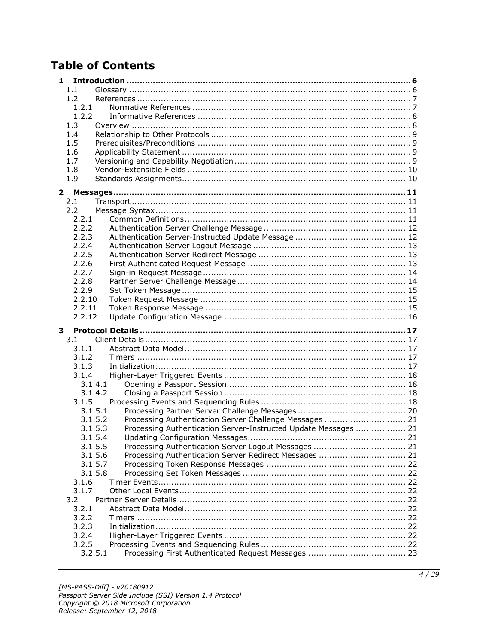# **Table of Contents**

| 1                |                                                                 |  |
|------------------|-----------------------------------------------------------------|--|
| 1.1              |                                                                 |  |
| 1.2              |                                                                 |  |
| 1.2.1            |                                                                 |  |
| 1.2.2            |                                                                 |  |
| 1.3              |                                                                 |  |
| 1.4              |                                                                 |  |
| 1.5              |                                                                 |  |
| 1.6              |                                                                 |  |
| 1.7              |                                                                 |  |
| 1.8              |                                                                 |  |
| 1.9              |                                                                 |  |
| 2                |                                                                 |  |
| 2.1              |                                                                 |  |
| 2.2              |                                                                 |  |
| 2.2.1            |                                                                 |  |
| 2.2.2            |                                                                 |  |
| 2.2.3            |                                                                 |  |
| 2.2.4            |                                                                 |  |
| 2.2.5            |                                                                 |  |
| 2.2.6            |                                                                 |  |
| 2.2.7            |                                                                 |  |
| 2.2.8            |                                                                 |  |
| 2.2.9            |                                                                 |  |
| 2.2.10           |                                                                 |  |
| 2.2.11           |                                                                 |  |
| 2.2.12           |                                                                 |  |
|                  |                                                                 |  |
| 3                |                                                                 |  |
| 3.1              |                                                                 |  |
| 3.1.1            |                                                                 |  |
| 3.1.2            |                                                                 |  |
| 3.1.3            |                                                                 |  |
| 3.1.4            |                                                                 |  |
| 3.1.4.1          |                                                                 |  |
| 3.1.4.2          |                                                                 |  |
| 3.1.5            |                                                                 |  |
| 3.1.5.1          |                                                                 |  |
| 3.1.5.2          | Processing Authentication Server Challenge Messages  21         |  |
| 3.1.5.3          | Processing Authentication Server-Instructed Update Messages  21 |  |
| 3.1.5.4          |                                                                 |  |
| 3.1.5.5          |                                                                 |  |
| 3.1.5.6          | Processing Authentication Server Redirect Messages  21          |  |
| 3.1.5.7          |                                                                 |  |
| 3.1.5.8          |                                                                 |  |
| 3.1.6            |                                                                 |  |
| 3.1.7            |                                                                 |  |
| 3.2              |                                                                 |  |
| 3.2.1            |                                                                 |  |
| 3.2.2            |                                                                 |  |
| 3.2.3            |                                                                 |  |
| 3.2.4            |                                                                 |  |
| 3.2.5<br>3.2.5.1 |                                                                 |  |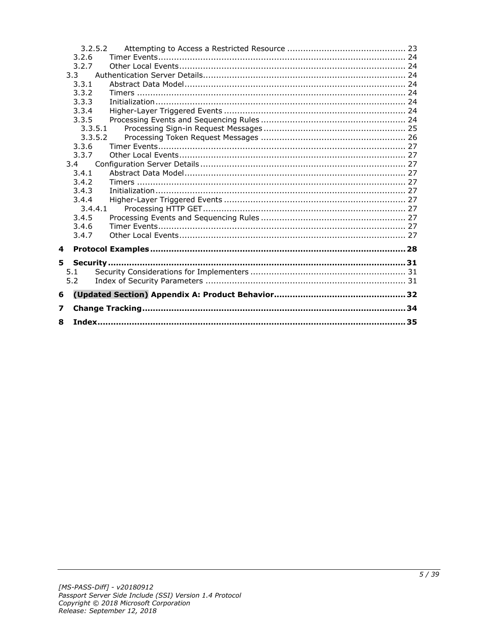|   |       | 3.2.5.2 |  |
|---|-------|---------|--|
|   | 3.2.6 |         |  |
|   | 3.2.7 |         |  |
|   | 3.3   |         |  |
|   | 3.3.1 |         |  |
|   | 3.3.2 |         |  |
|   | 3.3.3 |         |  |
|   | 3.3.4 |         |  |
|   | 3.3.5 |         |  |
|   |       | 3.3.5.1 |  |
|   |       | 3.3.5.2 |  |
|   | 3.3.6 |         |  |
|   | 3.3.7 |         |  |
|   | 3.4   |         |  |
|   | 3.4.1 |         |  |
|   | 3.4.2 |         |  |
|   | 3.4.3 |         |  |
|   | 3.4.4 |         |  |
|   |       | 3.4.4.1 |  |
|   | 3.4.5 |         |  |
|   | 3.4.6 |         |  |
|   | 3.4.7 |         |  |
| 4 |       |         |  |
| 5 |       |         |  |
|   | 5.1   |         |  |
|   | 5.2   |         |  |
|   |       |         |  |
| 6 |       |         |  |
| 7 |       |         |  |
| 8 |       |         |  |
|   |       |         |  |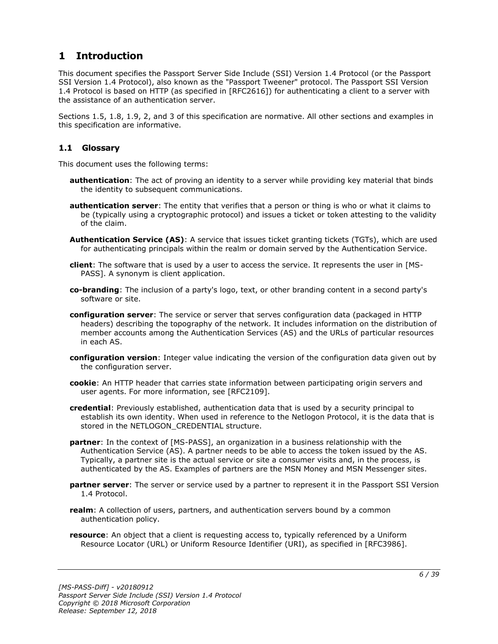## <span id="page-5-0"></span>**1 Introduction**

This document specifies the Passport Server Side Include (SSI) Version 1.4 Protocol (or the Passport SSI Version 1.4 Protocol), also known as the "Passport Tweener" protocol. The Passport SSI Version 1.4 Protocol is based on HTTP (as specified in [RFC2616]) for authenticating a client to a server with the assistance of an authentication server.

Sections 1.5, 1.8, 1.9, 2, and 3 of this specification are normative. All other sections and examples in this specification are informative.

## <span id="page-5-1"></span>**1.1 Glossary**

This document uses the following terms:

- **authentication**: The act of proving an identity to a server while providing key material that binds the identity to subsequent communications.
- **authentication server**: The entity that verifies that a person or thing is who or what it claims to be (typically using a cryptographic protocol) and issues a ticket or token attesting to the validity of the claim.
- **Authentication Service (AS)**: A service that issues ticket granting tickets (TGTs), which are used for authenticating principals within the realm or domain served by the Authentication Service.
- **client**: The software that is used by a user to access the service. It represents the user in [MS-PASS]. A synonym is client application.
- **co-branding**: The inclusion of a party's logo, text, or other branding content in a second party's software or site.
- **configuration server**: The service or server that serves configuration data (packaged in HTTP headers) describing the topography of the network. It includes information on the distribution of member accounts among the Authentication Services (AS) and the URLs of particular resources in each AS.
- **configuration version**: Integer value indicating the version of the configuration data given out by the configuration server.
- **cookie**: An HTTP header that carries state information between participating origin servers and user agents. For more information, see [RFC2109].
- **credential**: Previously established, authentication data that is used by a security principal to establish its own identity. When used in reference to the Netlogon Protocol, it is the data that is stored in the NETLOGON CREDENTIAL structure.
- **partner**: In the context of [MS-PASS], an organization in a business relationship with the Authentication Service (AS). A partner needs to be able to access the token issued by the AS. Typically, a partner site is the actual service or site a consumer visits and, in the process, is authenticated by the AS. Examples of partners are the MSN Money and MSN Messenger sites.
- **partner server**: The server or service used by a partner to represent it in the Passport SSI Version 1.4 Protocol.
- **realm**: A collection of users, partners, and authentication servers bound by a common authentication policy.
- **resource**: An object that a client is requesting access to, typically referenced by a Uniform Resource Locator (URL) or Uniform Resource Identifier (URI), as specified in [RFC3986].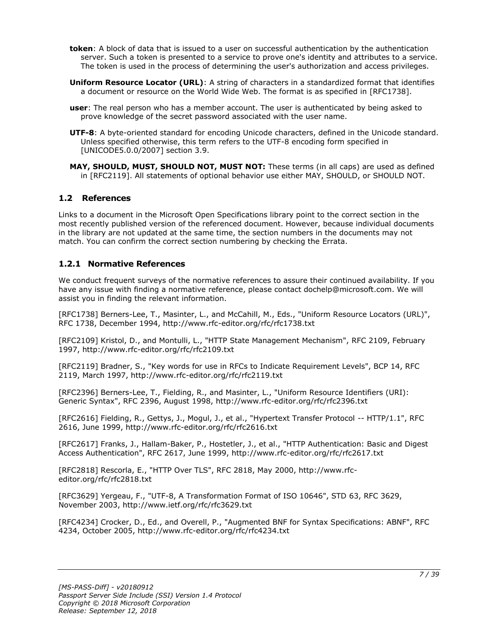- **token**: A block of data that is issued to a user on successful authentication by the authentication server. Such a token is presented to a service to prove one's identity and attributes to a service. The token is used in the process of determining the user's authorization and access privileges.
- **Uniform Resource Locator (URL)**: A string of characters in a standardized format that identifies a document or resource on the World Wide Web. The format is as specified in [RFC1738].
- **user**: The real person who has a member account. The user is authenticated by being asked to prove knowledge of the secret password associated with the user name.
- **UTF-8**: A byte-oriented standard for encoding Unicode characters, defined in the Unicode standard. Unless specified otherwise, this term refers to the UTF-8 encoding form specified in [UNICODE5.0.0/2007] section 3.9.
- **MAY, SHOULD, MUST, SHOULD NOT, MUST NOT:** These terms (in all caps) are used as defined in [RFC2119]. All statements of optional behavior use either MAY, SHOULD, or SHOULD NOT.

## <span id="page-6-0"></span>**1.2 References**

Links to a document in the Microsoft Open Specifications library point to the correct section in the most recently published version of the referenced document. However, because individual documents in the library are not updated at the same time, the section numbers in the documents may not match. You can confirm the correct section numbering by checking the Errata.

## <span id="page-6-1"></span>**1.2.1 Normative References**

We conduct frequent surveys of the normative references to assure their continued availability. If you have any issue with finding a normative reference, please contact dochelp@microsoft.com. We will assist you in finding the relevant information.

[RFC1738] Berners-Lee, T., Masinter, L., and McCahill, M., Eds., "Uniform Resource Locators (URL)", RFC 1738, December 1994, http://www.rfc-editor.org/rfc/rfc1738.txt

[RFC2109] Kristol, D., and Montulli, L., "HTTP State Management Mechanism", RFC 2109, February 1997, http://www.rfc-editor.org/rfc/rfc2109.txt

[RFC2119] Bradner, S., "Key words for use in RFCs to Indicate Requirement Levels", BCP 14, RFC 2119, March 1997, http://www.rfc-editor.org/rfc/rfc2119.txt

[RFC2396] Berners-Lee, T., Fielding, R., and Masinter, L., "Uniform Resource Identifiers (URI): Generic Syntax", RFC 2396, August 1998, http://www.rfc-editor.org/rfc/rfc2396.txt

[RFC2616] Fielding, R., Gettys, J., Mogul, J., et al., "Hypertext Transfer Protocol -- HTTP/1.1", RFC 2616, June 1999, http://www.rfc-editor.org/rfc/rfc2616.txt

[RFC2617] Franks, J., Hallam-Baker, P., Hostetler, J., et al., "HTTP Authentication: Basic and Digest Access Authentication", RFC 2617, June 1999, http://www.rfc-editor.org/rfc/rfc2617.txt

[RFC2818] Rescorla, E., "HTTP Over TLS", RFC 2818, May 2000, http://www.rfceditor.org/rfc/rfc2818.txt

[RFC3629] Yergeau, F., "UTF-8, A Transformation Format of ISO 10646", STD 63, RFC 3629, November 2003, http://www.ietf.org/rfc/rfc3629.txt

[RFC4234] Crocker, D., Ed., and Overell, P., "Augmented BNF for Syntax Specifications: ABNF", RFC 4234, October 2005, http://www.rfc-editor.org/rfc/rfc4234.txt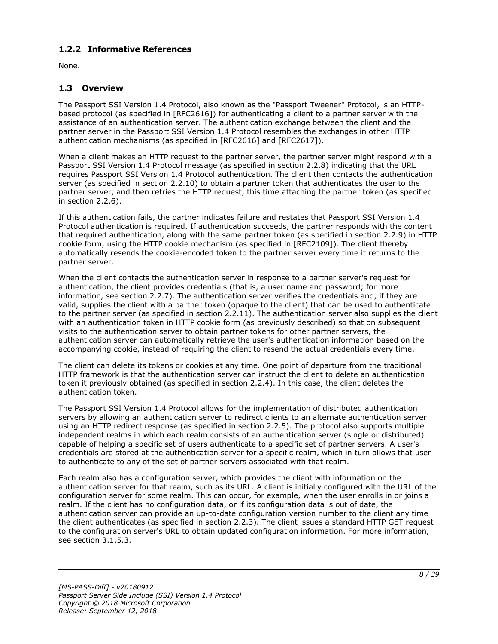## <span id="page-7-0"></span>**1.2.2 Informative References**

None.

## <span id="page-7-1"></span>**1.3 Overview**

The Passport SSI Version 1.4 Protocol, also known as the "Passport Tweener" Protocol, is an HTTPbased protocol (as specified in [RFC2616]) for authenticating a client to a partner server with the assistance of an authentication server. The authentication exchange between the client and the partner server in the Passport SSI Version 1.4 Protocol resembles the exchanges in other HTTP authentication mechanisms (as specified in [RFC2616] and [RFC2617]).

When a client makes an HTTP request to the partner server, the partner server might respond with a Passport SSI Version 1.4 Protocol message (as specified in section 2.2.8) indicating that the URL requires Passport SSI Version 1.4 Protocol authentication. The client then contacts the authentication server (as specified in section 2.2.10) to obtain a partner token that authenticates the user to the partner server, and then retries the HTTP request, this time attaching the partner token (as specified in section 2.2.6).

If this authentication fails, the partner indicates failure and restates that Passport SSI Version 1.4 Protocol authentication is required. If authentication succeeds, the partner responds with the content that required authentication, along with the same partner token (as specified in section 2.2.9) in HTTP cookie form, using the HTTP cookie mechanism (as specified in [RFC2109]). The client thereby automatically resends the cookie-encoded token to the partner server every time it returns to the partner server.

When the client contacts the authentication server in response to a partner server's request for authentication, the client provides credentials (that is, a user name and password; for more information, see section 2.2.7). The authentication server verifies the credentials and, if they are valid, supplies the client with a partner token (opaque to the client) that can be used to authenticate to the partner server (as specified in section 2.2.11). The authentication server also supplies the client with an authentication token in HTTP cookie form (as previously described) so that on subsequent visits to the authentication server to obtain partner tokens for other partner servers, the authentication server can automatically retrieve the user's authentication information based on the accompanying cookie, instead of requiring the client to resend the actual credentials every time.

The client can delete its tokens or cookies at any time. One point of departure from the traditional HTTP framework is that the authentication server can instruct the client to delete an authentication token it previously obtained (as specified in section 2.2.4). In this case, the client deletes the authentication token.

The Passport SSI Version 1.4 Protocol allows for the implementation of distributed authentication servers by allowing an authentication server to redirect clients to an alternate authentication server using an HTTP redirect response (as specified in section 2.2.5). The protocol also supports multiple independent realms in which each realm consists of an authentication server (single or distributed) capable of helping a specific set of users authenticate to a specific set of partner servers. A user's credentials are stored at the authentication server for a specific realm, which in turn allows that user to authenticate to any of the set of partner servers associated with that realm.

Each realm also has a configuration server, which provides the client with information on the authentication server for that realm, such as its URL. A client is initially configured with the URL of the configuration server for some realm. This can occur, for example, when the user enrolls in or joins a realm. If the client has no configuration data, or if its configuration data is out of date, the authentication server can provide an up-to-date configuration version number to the client any time the client authenticates (as specified in section 2.2.3). The client issues a standard HTTP GET request to the configuration server's URL to obtain updated configuration information. For more information, see section 3.1.5.3.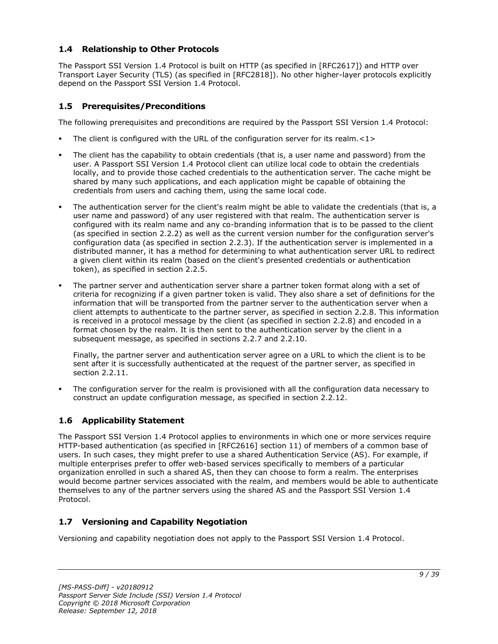## <span id="page-8-0"></span>**1.4 Relationship to Other Protocols**

The Passport SSI Version 1.4 Protocol is built on HTTP (as specified in [RFC2617]) and HTTP over Transport Layer Security (TLS) (as specified in [RFC2818]). No other higher-layer protocols explicitly depend on the Passport SSI Version 1.4 Protocol.

## <span id="page-8-1"></span>**1.5 Prerequisites/Preconditions**

The following prerequisites and preconditions are required by the Passport SSI Version 1.4 Protocol:

- The client is configured with the URL of the configuration server for its realm. $\langle 1 \rangle$
- The client has the capability to obtain credentials (that is, a user name and password) from the user. A Passport SSI Version 1.4 Protocol client can utilize local code to obtain the credentials locally, and to provide those cached credentials to the authentication server. The cache might be shared by many such applications, and each application might be capable of obtaining the credentials from users and caching them, using the same local code.
- The authentication server for the client's realm might be able to validate the credentials (that is, a user name and password) of any user registered with that realm. The authentication server is configured with its realm name and any co-branding information that is to be passed to the client (as specified in section 2.2.2) as well as the current version number for the configuration server's configuration data (as specified in section 2.2.3). If the authentication server is implemented in a distributed manner, it has a method for determining to what authentication server URL to redirect a given client within its realm (based on the client's presented credentials or authentication token), as specified in section 2.2.5.
- The partner server and authentication server share a partner token format along with a set of criteria for recognizing if a given partner token is valid. They also share a set of definitions for the information that will be transported from the partner server to the authentication server when a client attempts to authenticate to the partner server, as specified in section 2.2.8. This information is received in a protocol message by the client (as specified in section 2.2.8) and encoded in a format chosen by the realm. It is then sent to the authentication server by the client in a subsequent message, as specified in sections 2.2.7 and 2.2.10.

Finally, the partner server and authentication server agree on a URL to which the client is to be sent after it is successfully authenticated at the request of the partner server, as specified in section 2.2.11.

The configuration server for the realm is provisioned with all the configuration data necessary to construct an update configuration message, as specified in section 2.2.12.

## <span id="page-8-2"></span>**1.6 Applicability Statement**

The Passport SSI Version 1.4 Protocol applies to environments in which one or more services require HTTP-based authentication (as specified in [RFC2616] section 11) of members of a common base of users. In such cases, they might prefer to use a shared Authentication Service (AS). For example, if multiple enterprises prefer to offer web-based services specifically to members of a particular organization enrolled in such a shared AS, then they can choose to form a realm. The enterprises would become partner services associated with the realm, and members would be able to authenticate themselves to any of the partner servers using the shared AS and the Passport SSI Version 1.4 Protocol.

## <span id="page-8-3"></span>**1.7 Versioning and Capability Negotiation**

Versioning and capability negotiation does not apply to the Passport SSI Version 1.4 Protocol.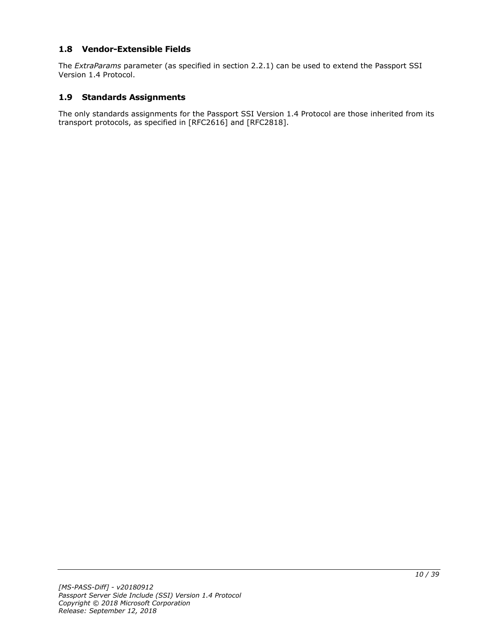## <span id="page-9-0"></span>**1.8 Vendor-Extensible Fields**

The *ExtraParams* parameter (as specified in section 2.2.1) can be used to extend the Passport SSI Version 1.4 Protocol.

#### <span id="page-9-1"></span>**1.9 Standards Assignments**

The only standards assignments for the Passport SSI Version 1.4 Protocol are those inherited from its transport protocols, as specified in [RFC2616] and [RFC2818].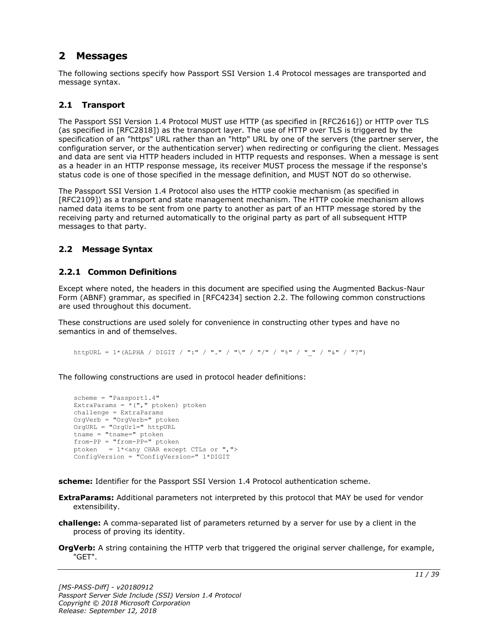## <span id="page-10-0"></span>**2 Messages**

The following sections specify how Passport SSI Version 1.4 Protocol messages are transported and message syntax.

## <span id="page-10-1"></span>**2.1 Transport**

The Passport SSI Version 1.4 Protocol MUST use HTTP (as specified in [RFC2616]) or HTTP over TLS (as specified in [RFC2818]) as the transport layer. The use of HTTP over TLS is triggered by the specification of an "https" URL rather than an "http" URL by one of the servers (the partner server, the configuration server, or the authentication server) when redirecting or configuring the client. Messages and data are sent via HTTP headers included in HTTP requests and responses. When a message is sent as a header in an HTTP response message, its receiver MUST process the message if the response's status code is one of those specified in the message definition, and MUST NOT do so otherwise.

The Passport SSI Version 1.4 Protocol also uses the HTTP cookie mechanism (as specified in [RFC2109]) as a transport and state management mechanism. The HTTP cookie mechanism allows named data items to be sent from one party to another as part of an HTTP message stored by the receiving party and returned automatically to the original party as part of all subsequent HTTP messages to that party.

### <span id="page-10-2"></span>**2.2 Message Syntax**

## <span id="page-10-3"></span>**2.2.1 Common Definitions**

Except where noted, the headers in this document are specified using the Augmented Backus-Naur Form (ABNF) grammar, as specified in [RFC4234] section 2.2. The following common constructions are used throughout this document.

These constructions are used solely for convenience in constructing other types and have no semantics in and of themselves.

httpURL = 1\*(ALPHA / DIGIT / ":" / "." / "\" / "/" / "%" / " " / "&" / "?")

The following constructions are used in protocol header definitions:

```
scheme = "Passport1.4"
ExtraParams = *(", "ptoken) ptoken
challenge = ExtraParams
OrgVerb = "OrgVerb=" ptoken 
OrgURL = "OrgUrl=" httpURL
tname = "tname="from-PP = "from-PP=" ptoken
ptoken = 1*<any CHAR except CTLs or ",">
ConfigVersion = "ConfigVersion=" 1*DIGIT
```
**scheme:** Identifier for the Passport SSI Version 1.4 Protocol authentication scheme.

- **ExtraParams:** Additional parameters not interpreted by this protocol that MAY be used for vendor extensibility.
- **challenge:** A comma-separated list of parameters returned by a server for use by a client in the process of proving its identity.
- **OrgVerb:** A string containing the HTTP verb that triggered the original server challenge, for example, "GET".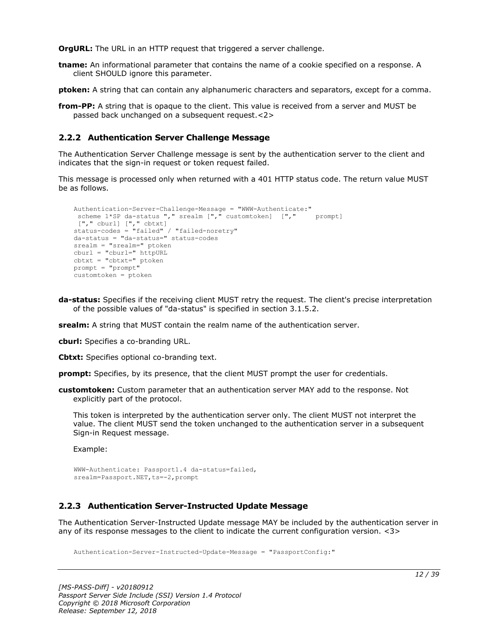**OrgURL:** The URL in an HTTP request that triggered a server challenge.

**tname:** An informational parameter that contains the name of a cookie specified on a response. A client SHOULD ignore this parameter.

**ptoken:** A string that can contain any alphanumeric characters and separators, except for a comma.

**from-PP:** A string that is opaque to the client. This value is received from a server and MUST be passed back unchanged on a subsequent request.<2>

## <span id="page-11-0"></span>**2.2.2 Authentication Server Challenge Message**

The Authentication Server Challenge message is sent by the authentication server to the client and indicates that the sign-in request or token request failed.

This message is processed only when returned with a 401 HTTP status code. The return value MUST be as follows.

```
Authentication-Server-Challenge-Message = "WWW-Authenticate:"
 scheme 1*SP da-status "," srealm ["," customtoken] ["," prompt]
 ["," cburl] ["," cbtxt] 
status-codes = "failed" / "failed-noretry"
da-status = "da-status=" status-codes
srealm = "srealm=" ptoken
cburl = "cburl=" httpURL
cbtxt = "cbtxt=" ptoken
prompt = "prompt"
customtoken = ptoken
```
**da-status:** Specifies if the receiving client MUST retry the request. The client's precise interpretation of the possible values of "da-status" is specified in section 3.1.5.2.

**srealm:** A string that MUST contain the realm name of the authentication server.

**cburl:** Specifies a co-branding URL.

**Cbtxt:** Specifies optional co-branding text.

**prompt:** Specifies, by its presence, that the client MUST prompt the user for credentials.

**customtoken:** Custom parameter that an authentication server MAY add to the response. Not explicitly part of the protocol.

This token is interpreted by the authentication server only. The client MUST not interpret the value. The client MUST send the token unchanged to the authentication server in a subsequent Sign-in Request message.

Example:

```
WWW-Authenticate: Passport1.4 da-status=failed,
srealm=Passport.NET, ts = - 2, prompt
```
## <span id="page-11-1"></span>**2.2.3 Authentication Server-Instructed Update Message**

The Authentication Server-Instructed Update message MAY be included by the authentication server in any of its response messages to the client to indicate the current configuration version. <3>

Authentication-Server-Instructed-Update-Message = "PassportConfig:"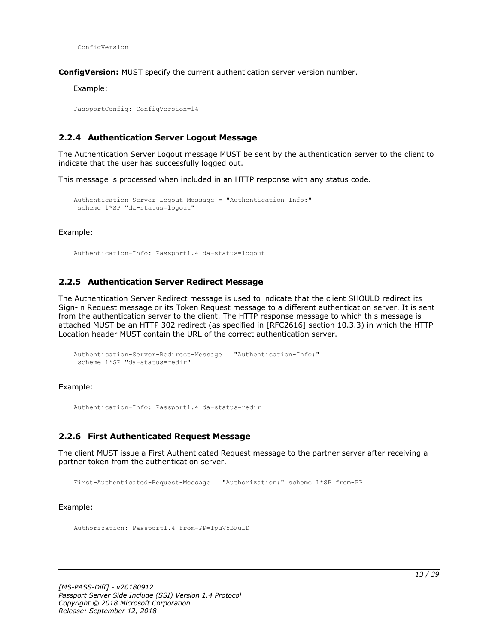ConfigVersion

**ConfigVersion:** MUST specify the current authentication server version number.

Example:

PassportConfig: ConfigVersion=14

#### <span id="page-12-0"></span>**2.2.4 Authentication Server Logout Message**

The Authentication Server Logout message MUST be sent by the authentication server to the client to indicate that the user has successfully logged out.

This message is processed when included in an HTTP response with any status code.

```
Authentication-Server-Logout-Message = "Authentication-Info:"
scheme 1*SP "da-status=logout"
```
Example:

Authentication-Info: Passport1.4 da-status=logout

#### <span id="page-12-1"></span>**2.2.5 Authentication Server Redirect Message**

The Authentication Server Redirect message is used to indicate that the client SHOULD redirect its Sign-in Request message or its Token Request message to a different authentication server. It is sent from the authentication server to the client. The HTTP response message to which this message is attached MUST be an HTTP 302 redirect (as specified in [RFC2616] section 10.3.3) in which the HTTP Location header MUST contain the URL of the correct authentication server.

```
Authentication-Server-Redirect-Message = "Authentication-Info:"
scheme 1*SP "da-status=redir"
```
Example:

Authentication-Info: Passport1.4 da-status=redir

#### <span id="page-12-2"></span>**2.2.6 First Authenticated Request Message**

The client MUST issue a First Authenticated Request message to the partner server after receiving a partner token from the authentication server.

First-Authenticated-Request-Message = "Authorization:" scheme 1\*SP from-PP

Example:

Authorization: Passport1.4 from-PP=1puV5BFuLD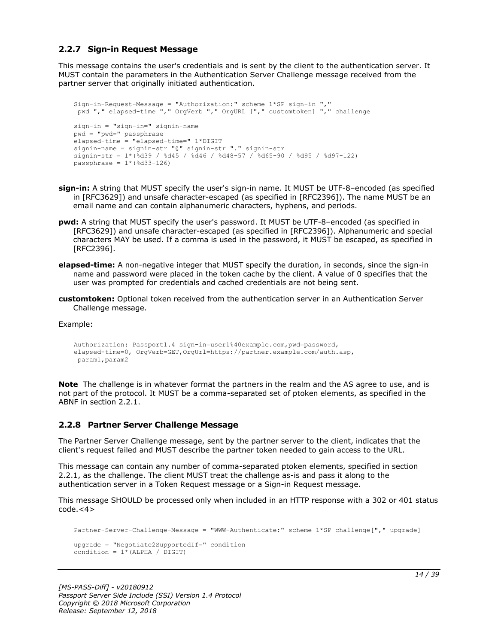### <span id="page-13-0"></span>**2.2.7 Sign-in Request Message**

This message contains the user's credentials and is sent by the client to the authentication server. It MUST contain the parameters in the Authentication Server Challenge message received from the partner server that originally initiated authentication.

```
Sign-in-Request-Message = "Authorization:" scheme 1*SP sign-in ","
pwd "," elapsed-time "," OrgVerb "," OrgURL ["," customtoken] "," challenge
sign-in = "sign-in=" signin-name
pwd = "pwd=" passphrase
elapsed-time = "elapsed-time=" 1*DIGIT
signin-name = signin-str "@" signin-str "." signin-str
signin-str = 1*(%d39 / %d45 / %d46 / %d48-57 / %d65-90 / %d95 / %d97-122)
passphrase = 1*(%d33-126)
```
- **sign-in:** A string that MUST specify the user's sign-in name. It MUST be UTF-8–encoded (as specified in [RFC3629]) and unsafe character-escaped (as specified in [RFC2396]). The name MUST be an email name and can contain alphanumeric characters, hyphens, and periods.
- **pwd:** A string that MUST specify the user's password. It MUST be UTF-8–encoded (as specified in [RFC3629]) and unsafe character-escaped (as specified in [RFC2396]). Alphanumeric and special characters MAY be used. If a comma is used in the password, it MUST be escaped, as specified in [RFC2396].
- **elapsed-time:** A non-negative integer that MUST specify the duration, in seconds, since the sign-in name and password were placed in the token cache by the client. A value of 0 specifies that the user was prompted for credentials and cached credentials are not being sent.
- **customtoken:** Optional token received from the authentication server in an Authentication Server Challenge message.

Example:

```
Authorization: Passport1.4 sign-in=user1%40example.com,pwd=password,
elapsed-time=0, OrgVerb=GET,OrgUrl=https://partner.example.com/auth.asp,
param1,param2
```
**Note** The challenge is in whatever format the partners in the realm and the AS agree to use, and is not part of the protocol. It MUST be a comma-separated set of ptoken elements, as specified in the ABNF in section 2.2.1.

#### <span id="page-13-1"></span>**2.2.8 Partner Server Challenge Message**

The Partner Server Challenge message, sent by the partner server to the client, indicates that the client's request failed and MUST describe the partner token needed to gain access to the URL.

This message can contain any number of comma-separated ptoken elements, specified in section 2.2.1, as the challenge. The client MUST treat the challenge as-is and pass it along to the authentication server in a Token Request message or a Sign-in Request message.

This message SHOULD be processed only when included in an HTTP response with a 302 or 401 status  $code.<<sub>4</sub>$ 

```
Partner-Server-Challenge-Message = "WWW-Authenticate:" scheme 1*SP challenge["," upgrade]
upgrade = "Negotiate2SupportedIf=" condition
condition = 1*(ALPHA / DIGIT)
```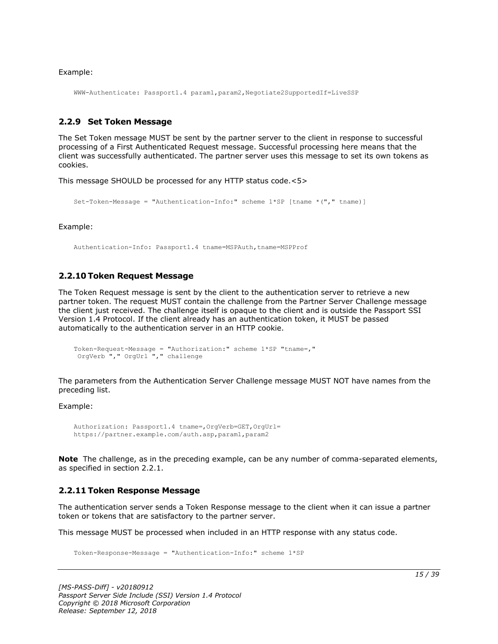Example:

WWW-Authenticate: Passport1.4 param1,param2,Negotiate2SupportedIf=LiveSSP

#### <span id="page-14-0"></span>**2.2.9 Set Token Message**

The Set Token message MUST be sent by the partner server to the client in response to successful processing of a First Authenticated Request message. Successful processing here means that the client was successfully authenticated. The partner server uses this message to set its own tokens as cookies.

This message SHOULD be processed for any HTTP status code.<5>

```
Set-Token-Message = "Authentication-Info:" scheme 1*SP [tname *("," tname)]
```
Example:

Authentication-Info: Passport1.4 tname=MSPAuth,tname=MSPProf

#### <span id="page-14-1"></span>**2.2.10 Token Request Message**

The Token Request message is sent by the client to the authentication server to retrieve a new partner token. The request MUST contain the challenge from the Partner Server Challenge message the client just received. The challenge itself is opaque to the client and is outside the Passport SSI Version 1.4 Protocol. If the client already has an authentication token, it MUST be passed automatically to the authentication server in an HTTP cookie.

```
Token-Request-Message = "Authorization:" scheme 1*SP "tname=,"
OrgVerb "," OrgUrl "," challenge
```
The parameters from the Authentication Server Challenge message MUST NOT have names from the preceding list.

Example:

```
Authorization: Passport1.4 tname=,OrgVerb=GET,OrgUrl=
https://partner.example.com/auth.asp,param1,param2
```
**Note** The challenge, as in the preceding example, can be any number of comma-separated elements, as specified in section 2.2.1.

#### <span id="page-14-2"></span>**2.2.11 Token Response Message**

The authentication server sends a Token Response message to the client when it can issue a partner token or tokens that are satisfactory to the partner server.

This message MUST be processed when included in an HTTP response with any status code.

Token-Response-Message = "Authentication-Info:" scheme 1\*SP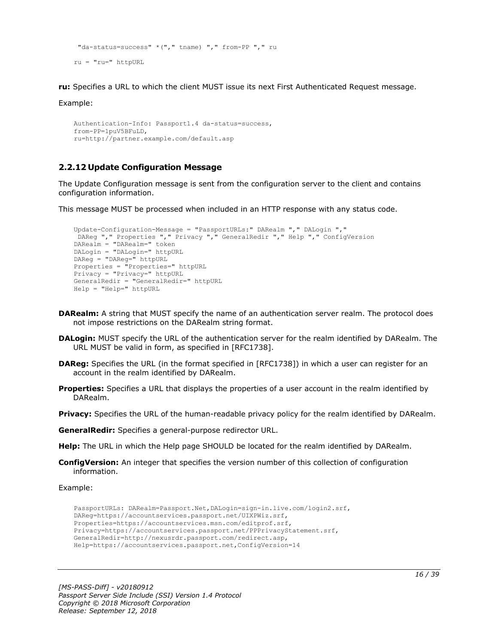```
"da-status=success" *("," tname) "," from-PP "," ru
ru = "ru=" httpURL
```
**ru:** Specifies a URL to which the client MUST issue its next First Authenticated Request message.

Example:

```
Authentication-Info: Passport1.4 da-status=success,
from-PP=1puV5BFuLD,
ru=http://partner.example.com/default.asp
```
## <span id="page-15-0"></span>**2.2.12 Update Configuration Message**

The Update Configuration message is sent from the configuration server to the client and contains configuration information.

This message MUST be processed when included in an HTTP response with any status code.

```
Update-Configuration-Message = "PassportURLs:" DARealm "," DALogin ","
DAReg "," Properties "," Privacy "," GeneralRedir "," Help "," ConfigVersion
DARealm = "DARealm=" token
DALogin = "DALogin=" httpURL
DAReg = "DAReg=" httpURL
Properties = "Properties=" httpURL
Privacy = "Privacy=" httpURL
GeneralRedir = "GeneralRedir=" httpURL
Help = "Help=" httpURL
```
- **DARealm:** A string that MUST specify the name of an authentication server realm. The protocol does not impose restrictions on the DARealm string format.
- **DALogin:** MUST specify the URL of the authentication server for the realm identified by DARealm. The URL MUST be valid in form, as specified in [RFC1738].
- **DAReg:** Specifies the URL (in the format specified in [RFC1738]) in which a user can register for an account in the realm identified by DARealm.
- **Properties:** Specifies a URL that displays the properties of a user account in the realm identified by DARealm.

**Privacy:** Specifies the URL of the human-readable privacy policy for the realm identified by DARealm.

**GeneralRedir:** Specifies a general-purpose redirector URL.

**Help:** The URL in which the Help page SHOULD be located for the realm identified by DARealm.

**ConfigVersion:** An integer that specifies the version number of this collection of configuration information.

Example:

```
PassportURLs: DARealm=Passport.Net,DALogin=sign-in.live.com/login2.srf,
DAReg=https://accountservices.passport.net/UIXPWiz.srf,
Properties=https://accountservices.msn.com/editprof.srf,
Privacy=https://accountservices.passport.net/PPPrivacyStatement.srf,
GeneralRedir=http://nexusrdr.passport.com/redirect.asp,
Help=https://accountservices.passport.net,ConfigVersion=14
```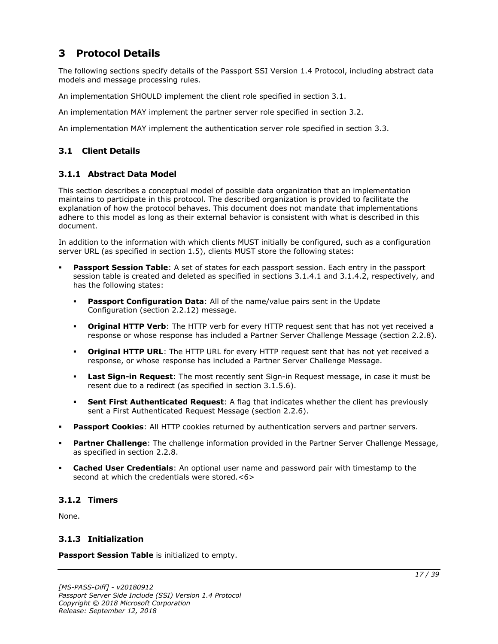## <span id="page-16-0"></span>**3 Protocol Details**

The following sections specify details of the Passport SSI Version 1.4 Protocol, including abstract data models and message processing rules.

An implementation SHOULD implement the client role specified in section 3.1.

An implementation MAY implement the partner server role specified in section 3.2.

An implementation MAY implement the authentication server role specified in section 3.3.

## <span id="page-16-1"></span>**3.1 Client Details**

## <span id="page-16-2"></span>**3.1.1 Abstract Data Model**

This section describes a conceptual model of possible data organization that an implementation maintains to participate in this protocol. The described organization is provided to facilitate the explanation of how the protocol behaves. This document does not mandate that implementations adhere to this model as long as their external behavior is consistent with what is described in this document.

In addition to the information with which clients MUST initially be configured, such as a configuration server URL (as specified in section 1.5), clients MUST store the following states:

- **Passport Session Table**: A set of states for each passport session. Each entry in the passport session table is created and deleted as specified in sections 3.1.4.1 and 3.1.4.2, respectively, and has the following states:
	- **Passport Configuration Data:** All of the name/value pairs sent in the Update Configuration (section 2.2.12) message.
	- **Original HTTP Verb**: The HTTP verb for every HTTP request sent that has not yet received a response or whose response has included a Partner Server Challenge Message (section 2.2.8).
	- **Original HTTP URL**: The HTTP URL for every HTTP request sent that has not yet received a response, or whose response has included a Partner Server Challenge Message.
	- **Last Sign-in Request**: The most recently sent Sign-in Request message, in case it must be resent due to a redirect (as specified in section 3.1.5.6).
	- **Sent First Authenticated Request:** A flag that indicates whether the client has previously sent a First Authenticated Request Message (section 2.2.6).
- **Passport Cookies:** All HTTP cookies returned by authentication servers and partner servers.
- Partner Challenge: The challenge information provided in the Partner Server Challenge Message, as specified in section 2.2.8.
- **Cached User Credentials:** An optional user name and password pair with timestamp to the second at which the credentials were stored.<6>

## <span id="page-16-3"></span>**3.1.2 Timers**

None.

### <span id="page-16-4"></span>**3.1.3 Initialization**

**Passport Session Table** is initialized to empty.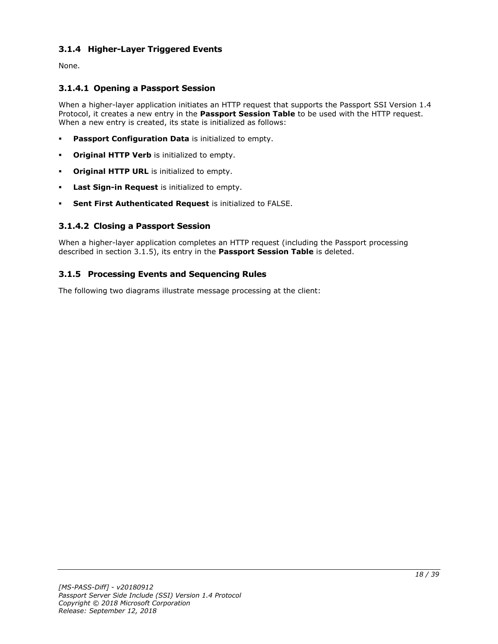## <span id="page-17-0"></span>**3.1.4 Higher-Layer Triggered Events**

None.

## <span id="page-17-1"></span>**3.1.4.1 Opening a Passport Session**

When a higher-layer application initiates an HTTP request that supports the Passport SSI Version 1.4 Protocol, it creates a new entry in the **Passport Session Table** to be used with the HTTP request. When a new entry is created, its state is initialized as follows:

- **Passport Configuration Data** is initialized to empty.
- **Original HTTP Verb** is initialized to empty.
- **Original HTTP URL** is initialized to empty.
- Last Sign-in Request is initialized to empty.
- **Sent First Authenticated Request** is initialized to FALSE.

## <span id="page-17-2"></span>**3.1.4.2 Closing a Passport Session**

When a higher-layer application completes an HTTP request (including the Passport processing described in section 3.1.5), its entry in the **Passport Session Table** is deleted.

## <span id="page-17-3"></span>**3.1.5 Processing Events and Sequencing Rules**

The following two diagrams illustrate message processing at the client: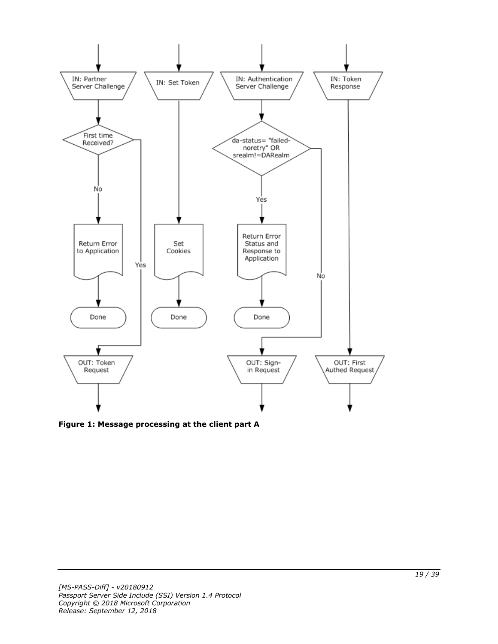

**Figure 1: Message processing at the client part A**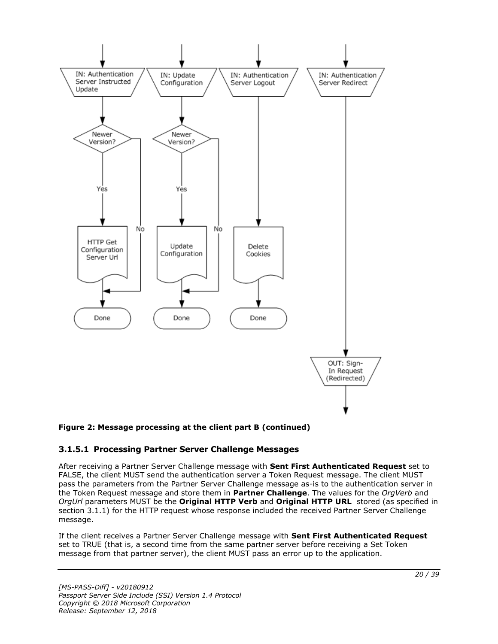

### **Figure 2: Message processing at the client part B (continued)**

### <span id="page-19-0"></span>**3.1.5.1 Processing Partner Server Challenge Messages**

After receiving a Partner Server Challenge message with **Sent First Authenticated Request** set to FALSE, the client MUST send the authentication server a Token Request message. The client MUST pass the parameters from the Partner Server Challenge message as-is to the authentication server in the Token Request message and store them in **Partner Challenge**. The values for the *OrgVerb* and *OrgUrl* parameters MUST be the **Original HTTP Verb** and **Original HTTP URL** stored (as specified in section 3.1.1) for the HTTP request whose response included the received Partner Server Challenge message.

If the client receives a Partner Server Challenge message with **Sent First Authenticated Request** set to TRUE (that is, a second time from the same partner server before receiving a Set Token message from that partner server), the client MUST pass an error up to the application.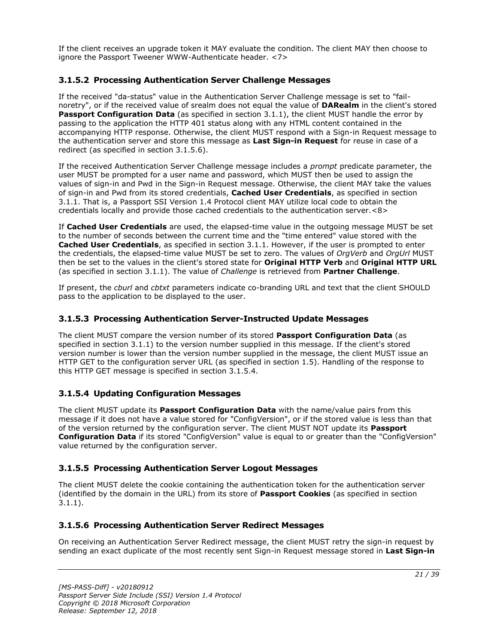If the client receives an upgrade token it MAY evaluate the condition. The client MAY then choose to ignore the Passport Tweener WWW-Authenticate header. <7>

## <span id="page-20-0"></span>**3.1.5.2 Processing Authentication Server Challenge Messages**

If the received "da-status" value in the Authentication Server Challenge message is set to "failnoretry", or if the received value of srealm does not equal the value of **DARealm** in the client's stored Passport Configuration Data (as specified in section 3.1.1), the client MUST handle the error by passing to the application the HTTP 401 status along with any HTML content contained in the accompanying HTTP response. Otherwise, the client MUST respond with a Sign-in Request message to the authentication server and store this message as **Last Sign-in Request** for reuse in case of a redirect (as specified in section 3.1.5.6).

If the received Authentication Server Challenge message includes a *prompt* predicate parameter, the user MUST be prompted for a user name and password, which MUST then be used to assign the values of sign-in and Pwd in the Sign-in Request message. Otherwise, the client MAY take the values of sign-in and Pwd from its stored credentials, **Cached User Credentials**, as specified in section 3.1.1. That is, a Passport SSI Version 1.4 Protocol client MAY utilize local code to obtain the credentials locally and provide those cached credentials to the authentication server.<8>

If **Cached User Credentials** are used, the elapsed-time value in the outgoing message MUST be set to the number of seconds between the current time and the "time entered" value stored with the **Cached User Credentials**, as specified in section 3.1.1. However, if the user is prompted to enter the credentials, the elapsed-time value MUST be set to zero. The values of *OrgVerb* and *OrgUrl* MUST then be set to the values in the client's stored state for **Original HTTP Verb** and **Original HTTP URL** (as specified in section 3.1.1). The value of *Challenge* is retrieved from **Partner Challenge**.

If present, the *cburl* and *cbtxt* parameters indicate co-branding URL and text that the client SHOULD pass to the application to be displayed to the user.

## <span id="page-20-1"></span>**3.1.5.3 Processing Authentication Server-Instructed Update Messages**

The client MUST compare the version number of its stored **Passport Configuration Data** (as specified in section 3.1.1) to the version number supplied in this message. If the client's stored version number is lower than the version number supplied in the message, the client MUST issue an HTTP GET to the configuration server URL (as specified in section 1.5). Handling of the response to this HTTP GET message is specified in section 3.1.5.4.

## <span id="page-20-2"></span>**3.1.5.4 Updating Configuration Messages**

The client MUST update its **Passport Configuration Data** with the name/value pairs from this message if it does not have a value stored for "ConfigVersion", or if the stored value is less than that of the version returned by the configuration server. The client MUST NOT update its **Passport Configuration Data** if its stored "ConfigVersion" value is equal to or greater than the "ConfigVersion" value returned by the configuration server.

### <span id="page-20-3"></span>**3.1.5.5 Processing Authentication Server Logout Messages**

The client MUST delete the cookie containing the authentication token for the authentication server (identified by the domain in the URL) from its store of **Passport Cookies** (as specified in section 3.1.1).

## <span id="page-20-4"></span>**3.1.5.6 Processing Authentication Server Redirect Messages**

On receiving an Authentication Server Redirect message, the client MUST retry the sign-in request by sending an exact duplicate of the most recently sent Sign-in Request message stored in **Last Sign-in**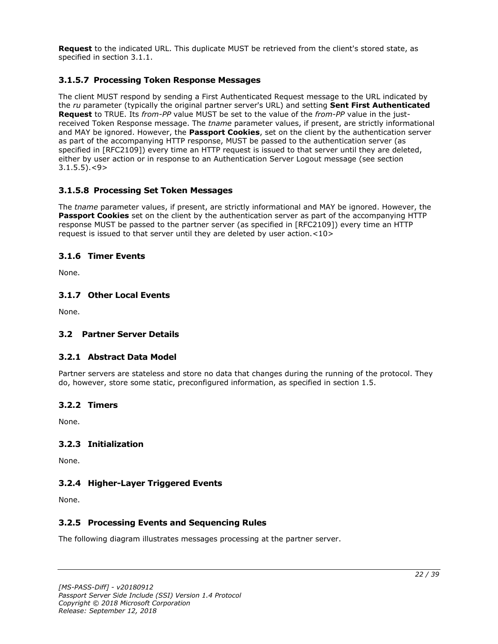**Request** to the indicated URL. This duplicate MUST be retrieved from the client's stored state, as specified in section 3.1.1.

## <span id="page-21-0"></span>**3.1.5.7 Processing Token Response Messages**

The client MUST respond by sending a First Authenticated Request message to the URL indicated by the *ru* parameter (typically the original partner server's URL) and setting **Sent First Authenticated Request** to TRUE. Its *from-PP* value MUST be set to the value of the *from-PP* value in the justreceived Token Response message. The *tname* parameter values, if present, are strictly informational and MAY be ignored. However, the **Passport Cookies**, set on the client by the authentication server as part of the accompanying HTTP response, MUST be passed to the authentication server (as specified in [RFC2109]) every time an HTTP request is issued to that server until they are deleted, either by user action or in response to an Authentication Server Logout message (see section  $3.1.5.5$ ). $<$ 9>

## <span id="page-21-1"></span>**3.1.5.8 Processing Set Token Messages**

The *tname* parameter values, if present, are strictly informational and MAY be ignored. However, the **Passport Cookies** set on the client by the authentication server as part of the accompanying HTTP response MUST be passed to the partner server (as specified in [RFC2109]) every time an HTTP request is issued to that server until they are deleted by user action.<10>

### <span id="page-21-2"></span>**3.1.6 Timer Events**

None.

### <span id="page-21-3"></span>**3.1.7 Other Local Events**

None.

### <span id="page-21-5"></span><span id="page-21-4"></span>**3.2 Partner Server Details**

### **3.2.1 Abstract Data Model**

Partner servers are stateless and store no data that changes during the running of the protocol. They do, however, store some static, preconfigured information, as specified in section 1.5.

### <span id="page-21-6"></span>**3.2.2 Timers**

None.

### <span id="page-21-7"></span>**3.2.3 Initialization**

None.

## <span id="page-21-8"></span>**3.2.4 Higher-Layer Triggered Events**

None.

## <span id="page-21-9"></span>**3.2.5 Processing Events and Sequencing Rules**

The following diagram illustrates messages processing at the partner server.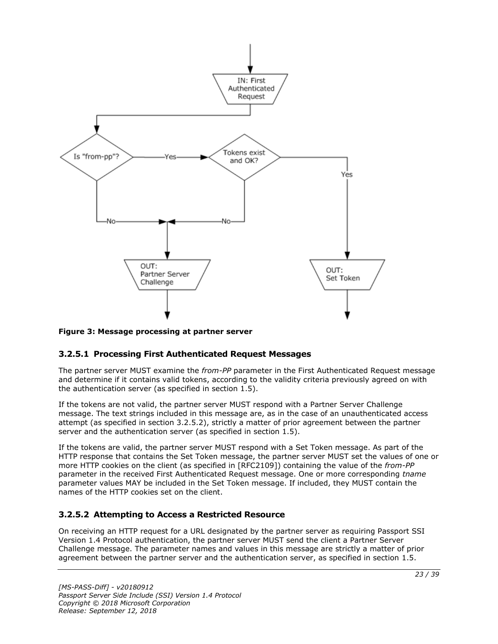

### **Figure 3: Message processing at partner server**

### <span id="page-22-0"></span>**3.2.5.1 Processing First Authenticated Request Messages**

The partner server MUST examine the *from-PP* parameter in the First Authenticated Request message and determine if it contains valid tokens, according to the validity criteria previously agreed on with the authentication server (as specified in section  $1.5$ ).

If the tokens are not valid, the partner server MUST respond with a Partner Server Challenge message. The text strings included in this message are, as in the case of an unauthenticated access attempt (as specified in section 3.2.5.2), strictly a matter of prior agreement between the partner server and the authentication server (as specified in section 1.5).

If the tokens are valid, the partner server MUST respond with a Set Token message. As part of the HTTP response that contains the Set Token message, the partner server MUST set the values of one or more HTTP cookies on the client (as specified in [RFC2109]) containing the value of the *from-PP* parameter in the received First Authenticated Request message. One or more corresponding *tname* parameter values MAY be included in the Set Token message. If included, they MUST contain the names of the HTTP cookies set on the client.

## <span id="page-22-1"></span>**3.2.5.2 Attempting to Access a Restricted Resource**

On receiving an HTTP request for a URL designated by the partner server as requiring Passport SSI Version 1.4 Protocol authentication, the partner server MUST send the client a Partner Server Challenge message. The parameter names and values in this message are strictly a matter of prior agreement between the partner server and the authentication server, as specified in section 1.5.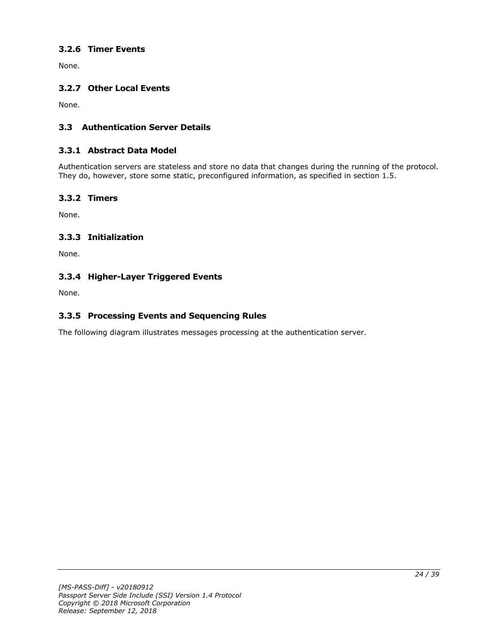## <span id="page-23-0"></span>**3.2.6 Timer Events**

None.

## <span id="page-23-1"></span>**3.2.7 Other Local Events**

None.

## <span id="page-23-2"></span>**3.3 Authentication Server Details**

### <span id="page-23-3"></span>**3.3.1 Abstract Data Model**

Authentication servers are stateless and store no data that changes during the running of the protocol. They do, however, store some static, preconfigured information, as specified in section 1.5.

### <span id="page-23-4"></span>**3.3.2 Timers**

None.

## <span id="page-23-5"></span>**3.3.3 Initialization**

None.

## <span id="page-23-6"></span>**3.3.4 Higher-Layer Triggered Events**

None.

## <span id="page-23-7"></span>**3.3.5 Processing Events and Sequencing Rules**

The following diagram illustrates messages processing at the authentication server.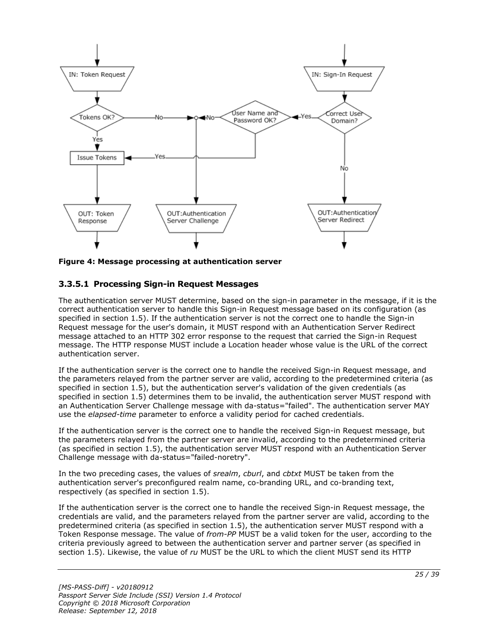

**Figure 4: Message processing at authentication server**

## <span id="page-24-0"></span>**3.3.5.1 Processing Sign-in Request Messages**

The authentication server MUST determine, based on the sign-in parameter in the message, if it is the correct authentication server to handle this Sign-in Request message based on its configuration (as specified in section 1.5). If the authentication server is not the correct one to handle the Sign-in Request message for the user's domain, it MUST respond with an Authentication Server Redirect message attached to an HTTP 302 error response to the request that carried the Sign-in Request message. The HTTP response MUST include a Location header whose value is the URL of the correct authentication server.

If the authentication server is the correct one to handle the received Sign-in Request message, and the parameters relayed from the partner server are valid, according to the predetermined criteria (as specified in section 1.5), but the authentication server's validation of the given credentials (as specified in section 1.5) determines them to be invalid, the authentication server MUST respond with an Authentication Server Challenge message with da-status="failed". The authentication server MAY use the *elapsed-time* parameter to enforce a validity period for cached credentials.

If the authentication server is the correct one to handle the received Sign-in Request message, but the parameters relayed from the partner server are invalid, according to the predetermined criteria (as specified in section 1.5), the authentication server MUST respond with an Authentication Server Challenge message with da-status="failed-noretry".

In the two preceding cases, the values of *srealm*, *cburl*, and *cbtxt* MUST be taken from the authentication server's preconfigured realm name, co-branding URL, and co-branding text, respectively (as specified in section 1.5).

If the authentication server is the correct one to handle the received Sign-in Request message, the credentials are valid, and the parameters relayed from the partner server are valid, according to the predetermined criteria (as specified in section 1.5), the authentication server MUST respond with a Token Response message. The value of *from-PP* MUST be a valid token for the user, according to the criteria previously agreed to between the authentication server and partner server (as specified in section 1.5). Likewise, the value of *ru* MUST be the URL to which the client MUST send its HTTP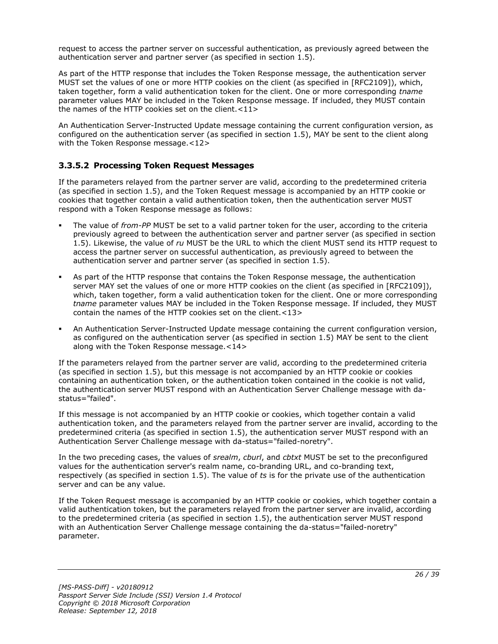request to access the partner server on successful authentication, as previously agreed between the authentication server and partner server (as specified in section 1.5).

As part of the HTTP response that includes the Token Response message, the authentication server MUST set the values of one or more HTTP cookies on the client (as specified in [RFC2109]), which, taken together, form a valid authentication token for the client. One or more corresponding *tname* parameter values MAY be included in the Token Response message. If included, they MUST contain the names of the HTTP cookies set on the client.<11>

An Authentication Server-Instructed Update message containing the current configuration version, as configured on the authentication server (as specified in section 1.5), MAY be sent to the client along with the Token Response message.<12>

## <span id="page-25-0"></span>**3.3.5.2 Processing Token Request Messages**

If the parameters relayed from the partner server are valid, according to the predetermined criteria (as specified in section 1.5), and the Token Request message is accompanied by an HTTP cookie or cookies that together contain a valid authentication token, then the authentication server MUST respond with a Token Response message as follows:

- The value of *from-PP* MUST be set to a valid partner token for the user, according to the criteria previously agreed to between the authentication server and partner server (as specified in section 1.5). Likewise, the value of *ru* MUST be the URL to which the client MUST send its HTTP request to access the partner server on successful authentication, as previously agreed to between the authentication server and partner server (as specified in section 1.5).
- As part of the HTTP response that contains the Token Response message, the authentication server MAY set the values of one or more HTTP cookies on the client (as specified in [RFC2109]), which, taken together, form a valid authentication token for the client. One or more corresponding *tname* parameter values MAY be included in the Token Response message. If included, they MUST contain the names of the HTTP cookies set on the client.<13>
- An Authentication Server-Instructed Update message containing the current configuration version, as configured on the authentication server (as specified in section 1.5) MAY be sent to the client along with the Token Response message.<14>

If the parameters relayed from the partner server are valid, according to the predetermined criteria (as specified in section 1.5), but this message is not accompanied by an HTTP cookie or cookies containing an authentication token, or the authentication token contained in the cookie is not valid, the authentication server MUST respond with an Authentication Server Challenge message with dastatus="failed".

If this message is not accompanied by an HTTP cookie or cookies, which together contain a valid authentication token, and the parameters relayed from the partner server are invalid, according to the predetermined criteria (as specified in section 1.5), the authentication server MUST respond with an Authentication Server Challenge message with da-status="failed-noretry".

In the two preceding cases, the values of *srealm*, *cburl*, and *cbtxt* MUST be set to the preconfigured values for the authentication server's realm name, co-branding URL, and co-branding text, respectively (as specified in section 1.5). The value of *ts* is for the private use of the authentication server and can be any value.

If the Token Request message is accompanied by an HTTP cookie or cookies, which together contain a valid authentication token, but the parameters relayed from the partner server are invalid, according to the predetermined criteria (as specified in section 1.5), the authentication server MUST respond with an Authentication Server Challenge message containing the da-status="failed-noretry" parameter.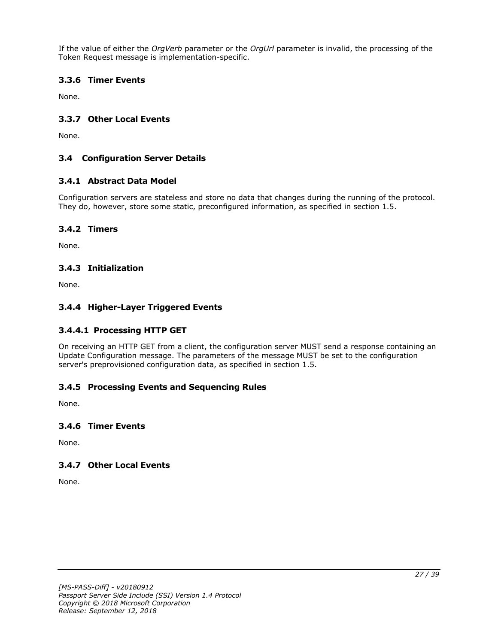If the value of either the *OrgVerb* parameter or the *OrgUrl* parameter is invalid, the processing of the Token Request message is implementation-specific.

## <span id="page-26-0"></span>**3.3.6 Timer Events**

None.

## <span id="page-26-1"></span>**3.3.7 Other Local Events**

None.

## <span id="page-26-2"></span>**3.4 Configuration Server Details**

### <span id="page-26-3"></span>**3.4.1 Abstract Data Model**

Configuration servers are stateless and store no data that changes during the running of the protocol. They do, however, store some static, preconfigured information, as specified in section 1.5.

### <span id="page-26-4"></span>**3.4.2 Timers**

None.

### <span id="page-26-5"></span>**3.4.3 Initialization**

None.

### <span id="page-26-6"></span>**3.4.4 Higher-Layer Triggered Events**

### <span id="page-26-7"></span>**3.4.4.1 Processing HTTP GET**

On receiving an HTTP GET from a client, the configuration server MUST send a response containing an Update Configuration message. The parameters of the message MUST be set to the configuration server's preprovisioned configuration data, as specified in section 1.5.

## <span id="page-26-8"></span>**3.4.5 Processing Events and Sequencing Rules**

None.

#### <span id="page-26-9"></span>**3.4.6 Timer Events**

None.

### <span id="page-26-10"></span>**3.4.7 Other Local Events**

None.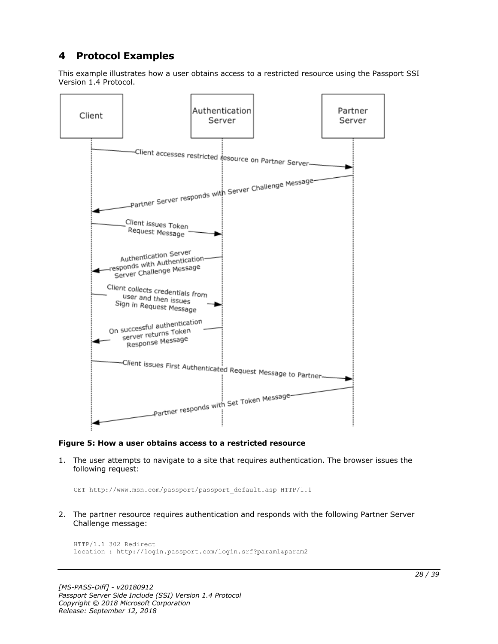## <span id="page-27-0"></span>**4 Protocol Examples**

This example illustrates how a user obtains access to a restricted resource using the Passport SSI Version 1.4 Protocol.



#### **Figure 5: How a user obtains access to a restricted resource**

1. The user attempts to navigate to a site that requires authentication. The browser issues the following request:

GET http://www.msn.com/passport/passport\_default.asp HTTP/1.1

2. The partner resource requires authentication and responds with the following Partner Server Challenge message:

```
HTTP/1.1 302 Redirect
Location : http://login.passport.com/login.srf?param1&param2
```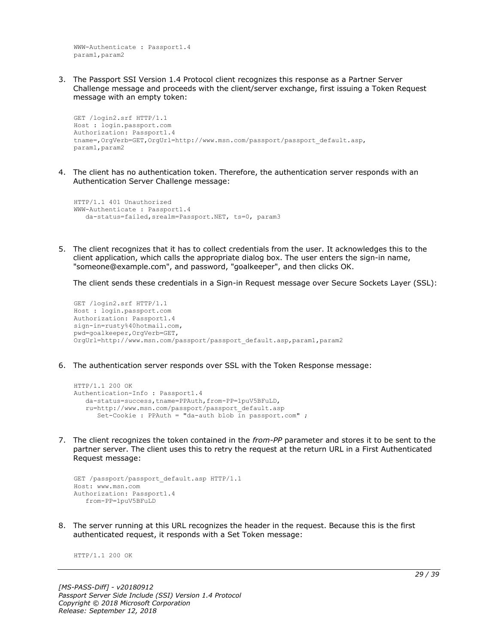WWW-Authenticate : Passport1.4 param1,param2

3. The Passport SSI Version 1.4 Protocol client recognizes this response as a Partner Server Challenge message and proceeds with the client/server exchange, first issuing a Token Request message with an empty token:

```
GET /login2.srf HTTP/1.1
Host : login.passport.com
Authorization: Passport1.4
tname=,OrgVerb=GET,OrgUrl=http://www.msn.com/passport/passport_default.asp,
param1,param2
```
4. The client has no authentication token. Therefore, the authentication server responds with an Authentication Server Challenge message:

```
HTTP/1.1 401 Unauthorized
WWW-Authenticate : Passport1.4
    da-status=failed,srealm=Passport.NET, ts=0, param3
```
5. The client recognizes that it has to collect credentials from the user. It acknowledges this to the client application, which calls the appropriate dialog box. The user enters the sign-in name, "someone@example.com", and password, "goalkeeper", and then clicks OK.

The client sends these credentials in a Sign-in Request message over Secure Sockets Layer (SSL):

```
GET /login2.srf HTTP/1.1
Host : login.passport.com
Authorization: Passport1.4
sign-in=rusty%40hotmail.com,
pwd=goalkeeper,OrgVerb=GET,
OrgUrl=http://www.msn.com/passport/passport_default.asp,param1,param2
```
6. The authentication server responds over SSL with the Token Response message:

```
HTTP/1.1 200 OK
Authentication-Info : Passport1.4
   da-status=success,tname=PPAuth,from-PP=1puV5BFuLD,
    ru=http://www.msn.com/passport/passport_default.asp
      Set-Cookie : PPAuth = "da-auth blob in passport.com" ;
```
7. The client recognizes the token contained in the *from-PP* parameter and stores it to be sent to the partner server. The client uses this to retry the request at the return URL in a First Authenticated Request message:

```
GET /passport/passport default.asp HTTP/1.1
Host: www.msn.com
Authorization: Passport1.4
    from-PP=1puV5BFuLD
```
8. The server running at this URL recognizes the header in the request. Because this is the first authenticated request, it responds with a Set Token message:

HTTP/1.1 200 OK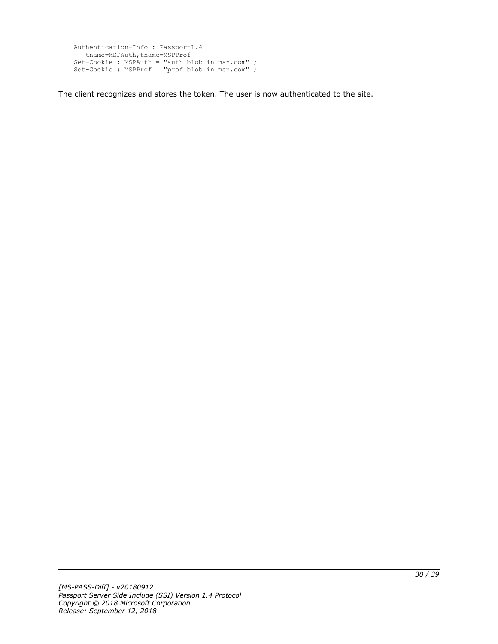```
Authentication-Info : Passport1.4
  tname=MSPAuth,tname=MSPProf
Set-Cookie : MSPAuth = "auth blob in msn.com" ;
Set-Cookie : MSPProf = "prof blob in msn.com" ;
```
The client recognizes and stores the token. The user is now authenticated to the site.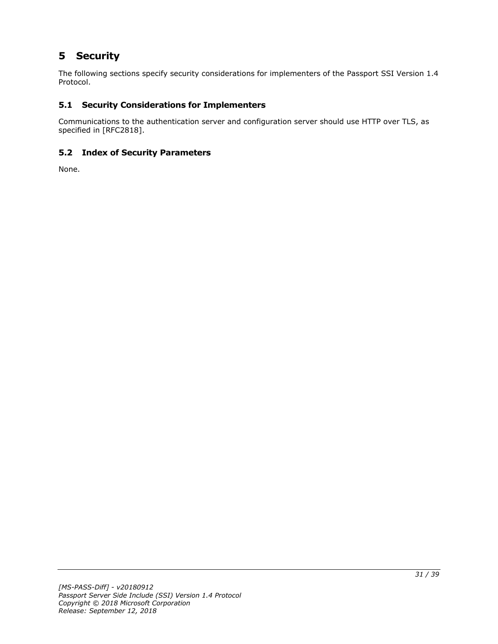# <span id="page-30-0"></span>**5 Security**

The following sections specify security considerations for implementers of the Passport SSI Version 1.4 Protocol.

## <span id="page-30-1"></span>**5.1 Security Considerations for Implementers**

Communications to the authentication server and configuration server should use HTTP over TLS, as specified in [RFC2818].

## <span id="page-30-2"></span>**5.2 Index of Security Parameters**

None.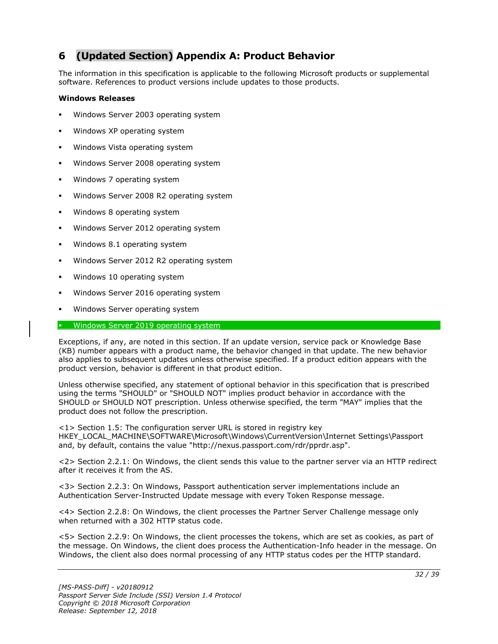## <span id="page-31-0"></span>**6 (Updated Section) Appendix A: Product Behavior**

The information in this specification is applicable to the following Microsoft products or supplemental software. References to product versions include updates to those products.

#### **Windows Releases**

- Windows Server 2003 operating system
- Windows XP operating system
- Windows Vista operating system
- Windows Server 2008 operating system
- Windows 7 operating system
- Windows Server 2008 R2 operating system
- Windows 8 operating system
- Windows Server 2012 operating system
- Windows 8.1 operating system
- Windows Server 2012 R2 operating system
- Windows 10 operating system
- Windows Server 2016 operating system
- Windows Server operating system

#### **■** Windows Server 2019 operating system

Exceptions, if any, are noted in this section. If an update version, service pack or Knowledge Base (KB) number appears with a product name, the behavior changed in that update. The new behavior also applies to subsequent updates unless otherwise specified. If a product edition appears with the product version, behavior is different in that product edition.

Unless otherwise specified, any statement of optional behavior in this specification that is prescribed using the terms "SHOULD" or "SHOULD NOT" implies product behavior in accordance with the SHOULD or SHOULD NOT prescription. Unless otherwise specified, the term "MAY" implies that the product does not follow the prescription.

<1> Section 1.5: The configuration server URL is stored in registry key HKEY\_LOCAL\_MACHINE\SOFTWARE\Microsoft\Windows\CurrentVersion\Internet Settings\Passport and, by default, contains the value "http://nexus.passport.com/rdr/pprdr.asp".

<2> Section 2.2.1: On Windows, the client sends this value to the partner server via an HTTP redirect after it receives it from the AS.

<3> Section 2.2.3: On Windows, Passport authentication server implementations include an Authentication Server-Instructed Update message with every Token Response message.

<4> Section 2.2.8: On Windows, the client processes the Partner Server Challenge message only when returned with a 302 HTTP status code.

<5> Section 2.2.9: On Windows, the client processes the tokens, which are set as cookies, as part of the message. On Windows, the client does process the Authentication-Info header in the message. On Windows, the client also does normal processing of any HTTP status codes per the HTTP standard.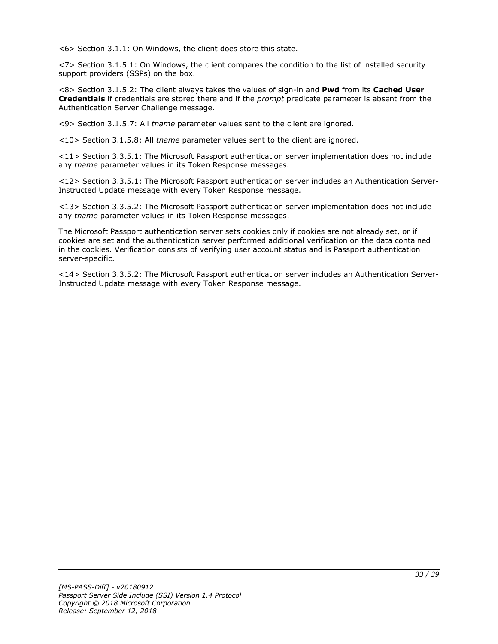<6> Section 3.1.1: On Windows, the client does store this state.

<7> Section 3.1.5.1: On Windows, the client compares the condition to the list of installed security support providers (SSPs) on the box.

<8> Section 3.1.5.2: The client always takes the values of sign-in and **Pwd** from its **Cached User Credentials** if credentials are stored there and if the *prompt* predicate parameter is absent from the Authentication Server Challenge message.

<9> Section 3.1.5.7: All *tname* parameter values sent to the client are ignored.

<10> Section 3.1.5.8: All *tname* parameter values sent to the client are ignored.

<11> Section 3.3.5.1: The Microsoft Passport authentication server implementation does not include any *tname* parameter values in its Token Response messages.

<12> Section 3.3.5.1: The Microsoft Passport authentication server includes an Authentication Server-Instructed Update message with every Token Response message.

<13> Section 3.3.5.2: The Microsoft Passport authentication server implementation does not include any *tname* parameter values in its Token Response messages.

The Microsoft Passport authentication server sets cookies only if cookies are not already set, or if cookies are set and the authentication server performed additional verification on the data contained in the cookies. Verification consists of verifying user account status and is Passport authentication server-specific.

<14> Section 3.3.5.2: The Microsoft Passport authentication server includes an Authentication Server-Instructed Update message with every Token Response message.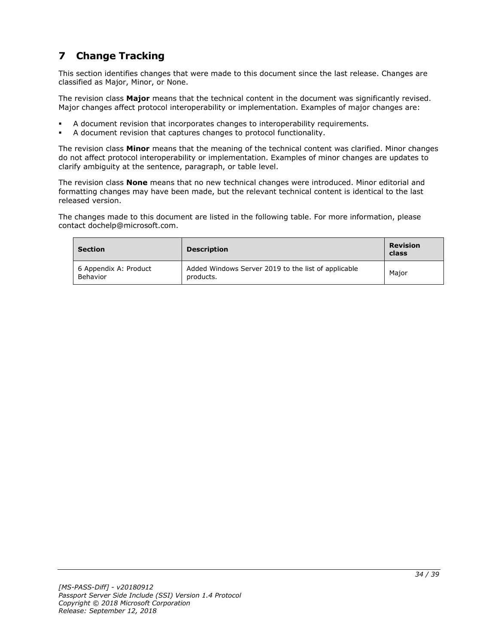# <span id="page-33-0"></span>**7 Change Tracking**

This section identifies changes that were made to this document since the last release. Changes are classified as Major, Minor, or None.

The revision class **Major** means that the technical content in the document was significantly revised. Major changes affect protocol interoperability or implementation. Examples of major changes are:

- A document revision that incorporates changes to interoperability requirements.
- A document revision that captures changes to protocol functionality.

The revision class **Minor** means that the meaning of the technical content was clarified. Minor changes do not affect protocol interoperability or implementation. Examples of minor changes are updates to clarify ambiguity at the sentence, paragraph, or table level.

The revision class **None** means that no new technical changes were introduced. Minor editorial and formatting changes may have been made, but the relevant technical content is identical to the last released version.

The changes made to this document are listed in the following table. For more information, please contact dochelp@microsoft.com.

| <b>Section</b>                    | <b>Description</b>                                               | <b>Revision</b><br>class |
|-----------------------------------|------------------------------------------------------------------|--------------------------|
| 6 Appendix A: Product<br>Behavior | Added Windows Server 2019 to the list of applicable<br>products. | Maior                    |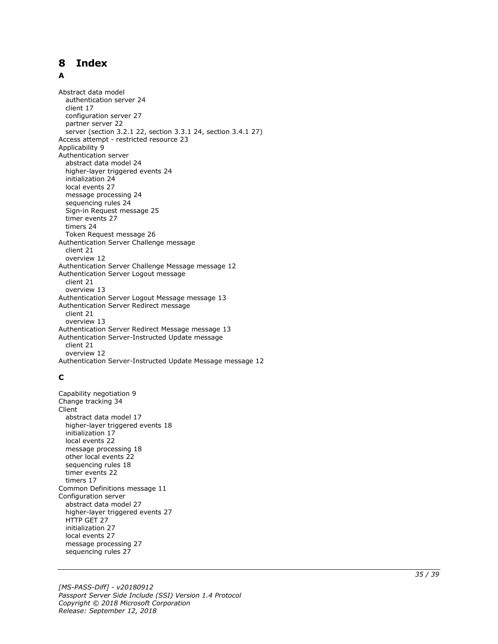## <span id="page-34-0"></span>8 Index

#### A

**Release:** The state of the state of the state of the Polenon By the Polenon By particle and the state september september september september september 22, 2018 and the absolved and the state of the state of the state of Abstract data model authentication server 24 client 17 configuration server 27 partner server 22 server (section 3.2.1 22, section 3.3.1 24, section 3.4.1 27 ) Access attempt - restricted resource 23 Applicability 9 Authentication server abstract data model 24 higher -layer triggered events 24 initialization 24 local events 27 message processing 24 sequencing rules 24 Sign -in Request message 25 timer events 27 timers 24 Token Request message 26 Authentication Server Challenge message client 21 overview 12 Authentication Server Challenge Message message 12 Authentication Server Logout message client 21 overview 13 Authentication Server Logout Message message 13 Authentication Server Redirect message client 21 overview 13 Authentication Server Redirect Message message 13 Authentication Server -Instructed Update message client 21 overview 12 Authentication Server -Instructed Update Message message 12

### **C**

Capability negotiation 9 Change tracking 34 Client abstract data model 17 higher -layer triggered events 18 initialization 17 local events 22 message processing 18 other local events 22 sequencing rules 18 timer events 22 timers 17 Common Definitions message 11 Configuration server abstract data model 27 higher -layer triggered events 27 HTTP GET 27 initialization 27 local events 27 message processing 27 sequencing rules 27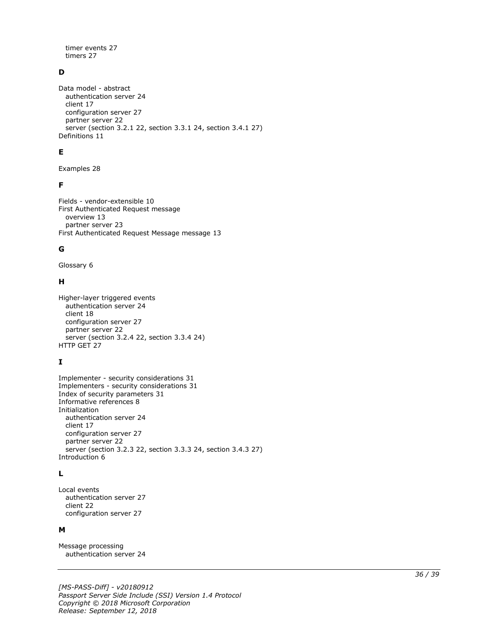timer events 27 timers 27

## **D**

Data model - abstract authentication server 24 client 17 configuration server 27 partner server 22 server (section 3.2.1 22, section 3.3.1 24, section 3.4.1 27) Definitions 11

### **E**

Examples 28

#### **F**

Fields - vendor-extensible 10 First Authenticated Request message overview 13 partner server 23 First Authenticated Request Message message 13

#### **G**

Glossary 6

#### **H**

```
Higher-layer triggered events
   authentication server 24
   client 18
   configuration server 27
   partner server 22
  server (section 3.2.4 22, section 3.3.4 24)
HTTP GET 27
```
### **I**

```
Implementer - security considerations 31
Implementers - security considerations 31
Index of security parameters 31
Informative references 8
Initialization
   authentication server 24
   client 17
   configuration server 27
   partner server 22
   server (section 3.2.3 22, section 3.3.3 24, section 3.4.3 27)
Introduction 6
```
### **L**

Local events authentication server 27 client 22 configuration server 27

#### **M**

Message processing authentication server 24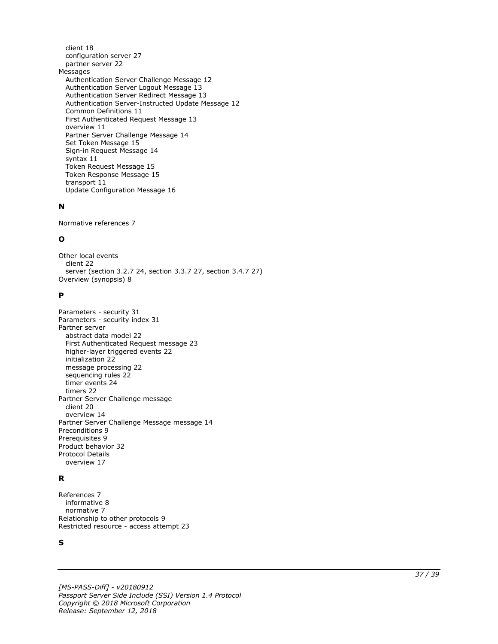client 18 configuration server 27 partner server 22 Messages Authentication Server Challenge Message 12 Authentication Server Logout Message 13 Authentication Server Redirect Message 13 Authentication Server -Instructed Update Message 12 Common Definitions 11 First Authenticated Request Message 13 overview 11 Partner Server Challenge Message 14 Set Token Message 15 Sign -in Request Message 14 syntax 11 Token Request Message 15 Token Response Message 15 transport 11 Update Configuration Message 16

## **N**

Normative references 7

### **O**

Other local events client 22 server (section 3.2.7 24, section 3.3.7 27, section 3.4.7 27 ) Overview (synopsis) 8

#### **P**

```
Parameters 
- security 31
Parameters 
- security index 31
Partner server
   abstract data model 22
   First Authenticated Request message 23
 higher
-layer triggered events 22
   initialization 22
   message processing 22
   sequencing rules 22
   timer events 24
   timers 22
Partner Server Challenge message
   client 20
   overview 14
Partner Server Challenge Message message 14
Preconditions 
9
Prerequisites 
9
Product behavior 32
Protocol Details
  overview 17
```
### **R**

```
References 
7
 informative 
8
 normative 
7
Relationship to other protocols 
9
Restricted resource 
- access attempt 23
```
#### **S**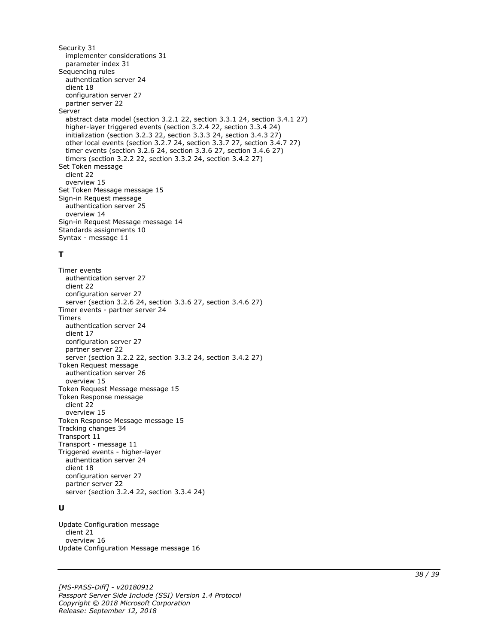Security 31 implementer considerations 31 parameter index 31 Sequencing rules authentication server 24 client 18 configuration server 27 partner server 22 Server abstract data model (section 3.2.1 22, section 3.3.1 24, section 3.4.1 27) higher-layer triggered events (section 3.2.4 22, section 3.3.4 24) initialization (section 3.2.3 22, section 3.3.3 24, section 3.4.3 27) other local events (section 3.2.7 24, section 3.3.7 27, section 3.4.7 27) timer events (section 3.2.6 24, section 3.3.6 27, section 3.4.6 27) timers (section 3.2.2 22, section 3.3.2 24, section 3.4.2 27) Set Token message client 22 overview 15 Set Token Message message 15 Sign-in Request message authentication server 25 overview 14 Sign-in Request Message message 14 Standards assignments 10 Syntax - message 11

#### **T**

Timer events authentication server 27 client 22 configuration server 27 server (section 3.2.6 24, section 3.3.6 27, section 3.4.6 27) Timer events - partner server 24 Timers authentication server 24 client 17 configuration server 27 partner server 22 server (section 3.2.2 22, section 3.3.2 24, section 3.4.2 27) Token Request message authentication server 26 overview 15 Token Request Message message 15 Token Response message client 22 overview 15 Token Response Message message 15 Tracking changes 34 Transport 11 Transport - message 11 Triggered events - higher-layer authentication server 24 client 18 configuration server 27 partner server 22 server (section 3.2.4 22, section 3.3.4 24)

#### **U**

Update Configuration message client 21 overview 16 Update Configuration Message message 16